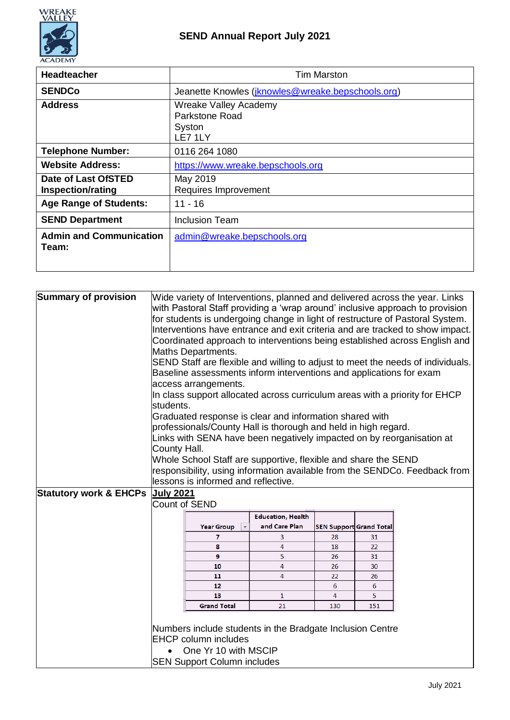

| <b>Headteacher</b>                              | <b>Tim Marston</b>                                           |  |  |
|-------------------------------------------------|--------------------------------------------------------------|--|--|
| <b>SENDCo</b>                                   | Jeanette Knowles (jknowles@wreake.bepschools.org)            |  |  |
| <b>Address</b>                                  | Wreake Valley Academy<br>Parkstone Road<br>Syston<br>LE7 1LY |  |  |
| <b>Telephone Number:</b>                        | 0116 264 1080                                                |  |  |
| <b>Website Address:</b>                         | https://www.wreake.bepschools.org                            |  |  |
| Date of Last OfSTED<br><b>Inspection/rating</b> | May 2019<br>Requires Improvement                             |  |  |
| <b>Age Range of Students:</b>                   | $11 - 16$                                                    |  |  |
| <b>SEND Department</b>                          | Inclusion Team                                               |  |  |
| <b>Admin and Communication</b><br>Team:         | admin@wreake.bepschools.org                                  |  |  |

| <b>Summary of provision</b>       | students.<br>County Hall. | Maths Departments.<br>access arrangements.<br>lessons is informed and reflective. | Baseline assessments inform interventions and applications for exam<br>Graduated response is clear and information shared with<br>professionals/County Hall is thorough and held in high regard.<br>Links with SENA have been negatively impacted on by reorganisation at<br>Whole School Staff are supportive, flexible and share the SEND |          |                                | Wide variety of Interventions, planned and delivered across the year. Links<br>with Pastoral Staff providing a 'wrap around' inclusive approach to provision<br>for students is undergoing change in light of restructure of Pastoral System.<br>Interventions have entrance and exit criteria and are tracked to show impact.<br>Coordinated approach to interventions being established across English and<br>SEND Staff are flexible and willing to adjust to meet the needs of individuals.<br>In class support allocated across curriculum areas with a priority for EHCP<br>responsibility, using information available from the SENDCo. Feedback from |
|-----------------------------------|---------------------------|-----------------------------------------------------------------------------------|---------------------------------------------------------------------------------------------------------------------------------------------------------------------------------------------------------------------------------------------------------------------------------------------------------------------------------------------|----------|--------------------------------|--------------------------------------------------------------------------------------------------------------------------------------------------------------------------------------------------------------------------------------------------------------------------------------------------------------------------------------------------------------------------------------------------------------------------------------------------------------------------------------------------------------------------------------------------------------------------------------------------------------------------------------------------------------|
| <b>Statutory work &amp; EHCPs</b> | <b>July 2021</b>          |                                                                                   |                                                                                                                                                                                                                                                                                                                                             |          |                                |                                                                                                                                                                                                                                                                                                                                                                                                                                                                                                                                                                                                                                                              |
|                                   | <b>Count of SEND</b>      |                                                                                   |                                                                                                                                                                                                                                                                                                                                             |          |                                |                                                                                                                                                                                                                                                                                                                                                                                                                                                                                                                                                                                                                                                              |
|                                   |                           |                                                                                   |                                                                                                                                                                                                                                                                                                                                             |          |                                |                                                                                                                                                                                                                                                                                                                                                                                                                                                                                                                                                                                                                                                              |
|                                   |                           |                                                                                   | <b>Education, Health</b>                                                                                                                                                                                                                                                                                                                    |          |                                |                                                                                                                                                                                                                                                                                                                                                                                                                                                                                                                                                                                                                                                              |
|                                   |                           | <b>Year Group</b>                                                                 | and Care Plan                                                                                                                                                                                                                                                                                                                               |          | <b>SEN Support Grand Total</b> |                                                                                                                                                                                                                                                                                                                                                                                                                                                                                                                                                                                                                                                              |
|                                   |                           | 7<br>8                                                                            | 3<br>4                                                                                                                                                                                                                                                                                                                                      | 28       | 31<br>22                       |                                                                                                                                                                                                                                                                                                                                                                                                                                                                                                                                                                                                                                                              |
|                                   |                           | 9                                                                                 | 5                                                                                                                                                                                                                                                                                                                                           | 18<br>26 | 31                             |                                                                                                                                                                                                                                                                                                                                                                                                                                                                                                                                                                                                                                                              |
|                                   |                           | 10                                                                                | 4                                                                                                                                                                                                                                                                                                                                           | 26       | 30                             |                                                                                                                                                                                                                                                                                                                                                                                                                                                                                                                                                                                                                                                              |
|                                   |                           | 11                                                                                | 4                                                                                                                                                                                                                                                                                                                                           | 22       | 26                             |                                                                                                                                                                                                                                                                                                                                                                                                                                                                                                                                                                                                                                                              |
|                                   |                           | 12                                                                                |                                                                                                                                                                                                                                                                                                                                             | 6        | 6                              |                                                                                                                                                                                                                                                                                                                                                                                                                                                                                                                                                                                                                                                              |
|                                   |                           | 13                                                                                | $\mathbf{1}$                                                                                                                                                                                                                                                                                                                                | 4        | 5                              |                                                                                                                                                                                                                                                                                                                                                                                                                                                                                                                                                                                                                                                              |
|                                   |                           | <b>Grand Total</b>                                                                | 21                                                                                                                                                                                                                                                                                                                                          | 130      | 151                            |                                                                                                                                                                                                                                                                                                                                                                                                                                                                                                                                                                                                                                                              |
|                                   |                           | <b>EHCP</b> column includes<br>One Yr 10 with MSCIP                               | Numbers include students in the Bradgate Inclusion Centre                                                                                                                                                                                                                                                                                   |          |                                |                                                                                                                                                                                                                                                                                                                                                                                                                                                                                                                                                                                                                                                              |
|                                   |                           | <b>SEN Support Column includes</b>                                                |                                                                                                                                                                                                                                                                                                                                             |          |                                |                                                                                                                                                                                                                                                                                                                                                                                                                                                                                                                                                                                                                                                              |